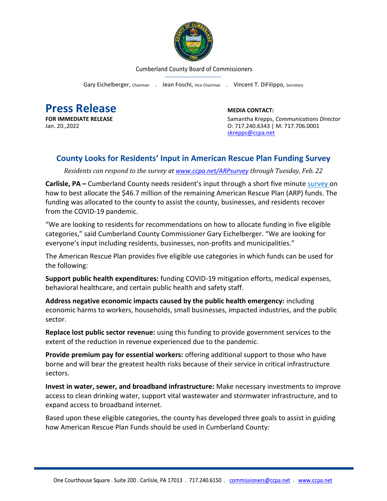

Cumberland County Board of Commissioners

Gary Eichelberger, Chairman . Jean Foschi, Vice Chairman . Vincent T. DiFilippo, Secretary

**Press Release**<br> **Press Release**<br> **EDIA CONTACT:**<br>
Samantha Krepps.

**FOR IMMEDIATE RELEASE Samantha Krepps,** *Communications Director*<br>
Jan. 20..2022 **Samantha Krepps,** *Communications Director*<br>
O: 717.240.6343 | M: 717.706.0001 Jan. 20.,2022 O: 717.240.6343 | M: 717.706.0001 [skrepps@ccpa.net](mailto:skrepps@ccpa.net)

## **County Looks for Residents' Input in American Rescue Plan Funding Survey**

*Residents can respond to the survey at [www.ccpa.net/ARPsurvey](http://www.ccpa.net/ARPsurvey) through Tuesday, Feb. 22*

**Carlisle, PA –** Cumberland County needs resident's input through a short five minute [survey](http://www.ccpa.net/ARPsurvey) on how to best allocate the \$46.7 million of the remaining American Rescue Plan (ARP) funds. The funding was allocated to the county to assist the county, businesses, and residents recover from the COVID-19 pandemic.

"We are looking to residents for recommendations on how to allocate funding in five eligible categories," said Cumberland County Commissioner Gary Eichelberger. "We are looking for everyone's input including residents, businesses, non-profits and municipalities."

The American Rescue Plan provides five eligible use categories in which funds can be used for the following:

**Support public health expenditures:** funding COVID-19 mitigation efforts, medical expenses, behavioral healthcare, and certain public health and safety staff.

**Address negative economic impacts caused by the public health emergency:** including economic harms to workers, households, small businesses, impacted industries, and the public sector.

**Replace lost public sector revenue:** using this funding to provide government services to the extent of the reduction in revenue experienced due to the pandemic.

**Provide premium pay for essential workers:** offering additional support to those who have borne and will bear the greatest health risks because of their service in critical infrastructure sectors.

**Invest in water, sewer, and broadband infrastructure:** Make necessary investments to improve access to clean drinking water, support vital wastewater and stormwater infrastructure, and to expand access to broadband internet.

Based upon these eligible categories, the county has developed three goals to assist in guiding how American Rescue Plan Funds should be used in Cumberland County: